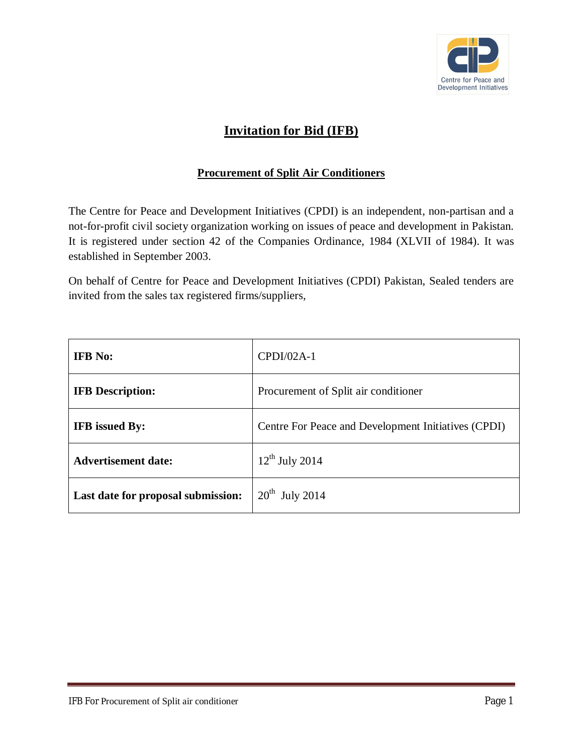

# **Invitation for Bid (IFB)**

### **Procurement of Split Air Conditioners**

The Centre for Peace and Development Initiatives (CPDI) is an independent, non-partisan and a not-for-profit civil society organization working on issues of peace and development in Pakistan. It is registered under section 42 of the Companies Ordinance, 1984 (XLVII of 1984). It was established in September 2003.

On behalf of Centre for Peace and Development Initiatives (CPDI) Pakistan, Sealed tenders are invited from the sales tax registered firms/suppliers,

| <b>IFB</b> No:                     | $CPDI/02A-1$                                        |  |
|------------------------------------|-----------------------------------------------------|--|
| <b>IFB</b> Description:            | Procurement of Split air conditioner                |  |
| <b>IFB</b> issued By:              | Centre For Peace and Development Initiatives (CPDI) |  |
| <b>Advertisement date:</b>         | $12^{th}$ July 2014                                 |  |
| Last date for proposal submission: | $20^{th}$ July 2014                                 |  |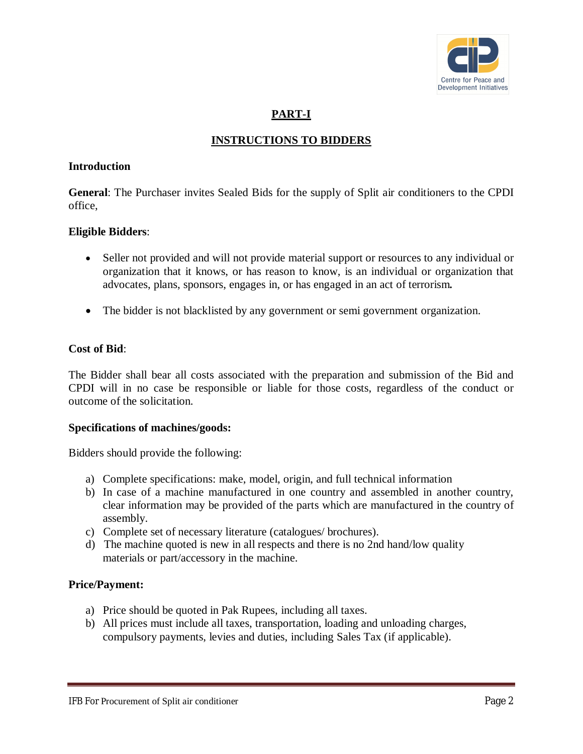

# **PART-I**

## **INSTRUCTIONS TO BIDDERS**

#### **Introduction**

**General**: The Purchaser invites Sealed Bids for the supply of Split air conditioners to the CPDI office,

#### **Eligible Bidders**:

- Seller not provided and will not provide material support or resources to any individual or organization that it knows, or has reason to know, is an individual or organization that advocates, plans, sponsors, engages in, or has engaged in an act of terrorism*.*
- The bidder is not blacklisted by any government or semi government organization.

#### **Cost of Bid**:

The Bidder shall bear all costs associated with the preparation and submission of the Bid and CPDI will in no case be responsible or liable for those costs, regardless of the conduct or outcome of the solicitation.

#### **Specifications of machines/goods:**

Bidders should provide the following:

- a) Complete specifications: make, model, origin, and full technical information
- b) In case of a machine manufactured in one country and assembled in another country, clear information may be provided of the parts which are manufactured in the country of assembly.
- c) Complete set of necessary literature (catalogues/ brochures).
- d) The machine quoted is new in all respects and there is no 2nd hand/low quality materials or part/accessory in the machine.

#### **Price/Payment:**

- a) Price should be quoted in Pak Rupees, including all taxes.
- b) All prices must include all taxes, transportation, loading and unloading charges, compulsory payments, levies and duties, including Sales Tax (if applicable).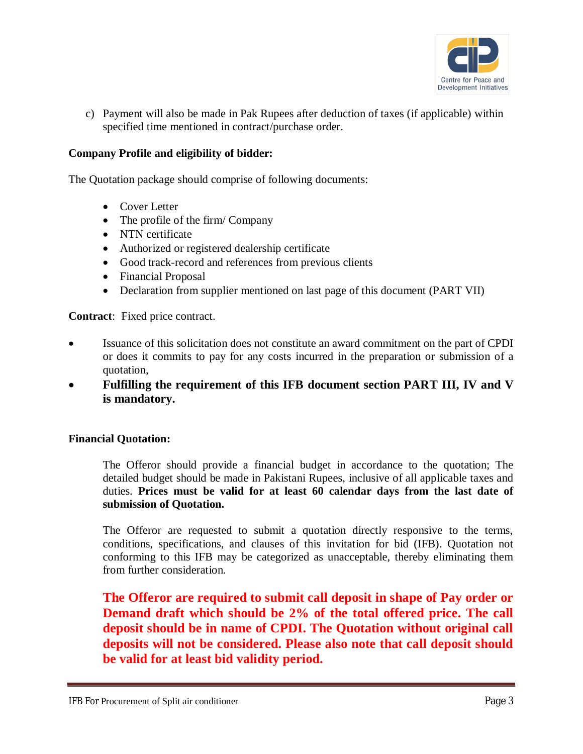

c) Payment will also be made in Pak Rupees after deduction of taxes (if applicable) within specified time mentioned in contract/purchase order.

### **Company Profile and eligibility of bidder:**

The Quotation package should comprise of following documents:

- Cover Letter
- The profile of the firm/ Company
- NTN certificate
- Authorized or registered dealership certificate
- Good track-record and references from previous clients
- Financial Proposal
- Declaration from supplier mentioned on last page of this document (PART VII)

**Contract**: Fixed price contract.

- Issuance of this solicitation does not constitute an award commitment on the part of CPDI or does it commits to pay for any costs incurred in the preparation or submission of a quotation,
- **Fulfilling the requirement of this IFB document section PART III, IV and V is mandatory.**

#### **Financial Quotation:**

The Offeror should provide a financial budget in accordance to the quotation; The detailed budget should be made in Pakistani Rupees, inclusive of all applicable taxes and duties. **Prices must be valid for at least 60 calendar days from the last date of submission of Quotation.**

The Offeror are requested to submit a quotation directly responsive to the terms, conditions, specifications, and clauses of this invitation for bid (IFB). Quotation not conforming to this IFB may be categorized as unacceptable, thereby eliminating them from further consideration.

**The Offeror are required to submit call deposit in shape of Pay order or Demand draft which should be 2% of the total offered price. The call deposit should be in name of CPDI. The Quotation without original call deposits will not be considered. Please also note that call deposit should be valid for at least bid validity period.**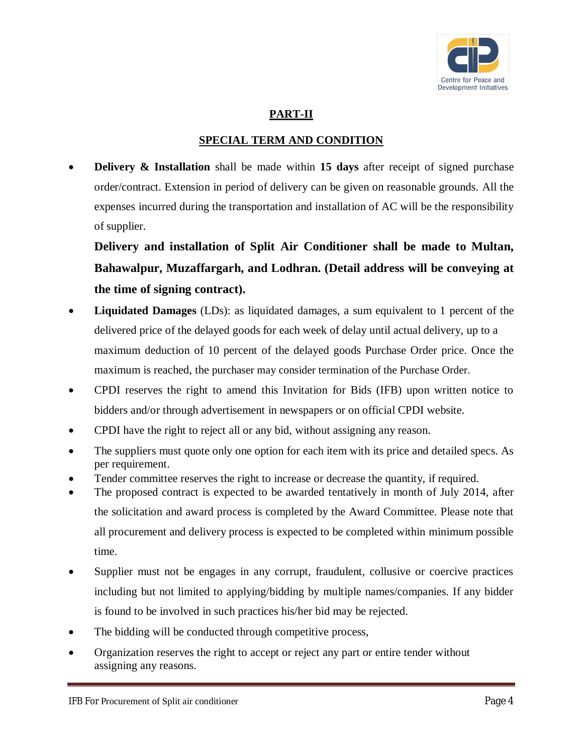

## **PART-II**

### **SPECIAL TERM AND CONDITION**

**Delivery & Installation** shall be made within 15 days after receipt of signed purchase order/contract. Extension in period of delivery can be given on reasonable grounds. All the expenses incurred during the transportation and installation of AC will be the responsibility of supplier.

**Delivery and installation of Split Air Conditioner shall be made to Multan, Bahawalpur, Muzaffargarh, and Lodhran. (Detail address will be conveying at the time of signing contract).** 

- **Liquidated Damages** (LDs): as liquidated damages, a sum equivalent to 1 percent of the delivered price of the delayed goods for each week of delay until actual delivery, up to a maximum deduction of 10 percent of the delayed goods Purchase Order price. Once the maximum is reached, the purchaser may consider termination of the Purchase Order.
- CPDI reserves the right to amend this Invitation for Bids (IFB) upon written notice to bidders and/or through advertisement in newspapers or on official CPDI website.
- CPDI have the right to reject all or any bid, without assigning any reason.
- The suppliers must quote only one option for each item with its price and detailed specs. As per requirement.
- Tender committee reserves the right to increase or decrease the quantity, if required.
- The proposed contract is expected to be awarded tentatively in month of July 2014, after the solicitation and award process is completed by the Award Committee. Please note that all procurement and delivery process is expected to be completed within minimum possible time.
- Supplier must not be engages in any corrupt, fraudulent, collusive or coercive practices including but not limited to applying/bidding by multiple names/companies. If any bidder is found to be involved in such practices his/her bid may be rejected.
- The bidding will be conducted through competitive process,
- Organization reserves the right to accept or reject any part or entire tender without assigning any reasons.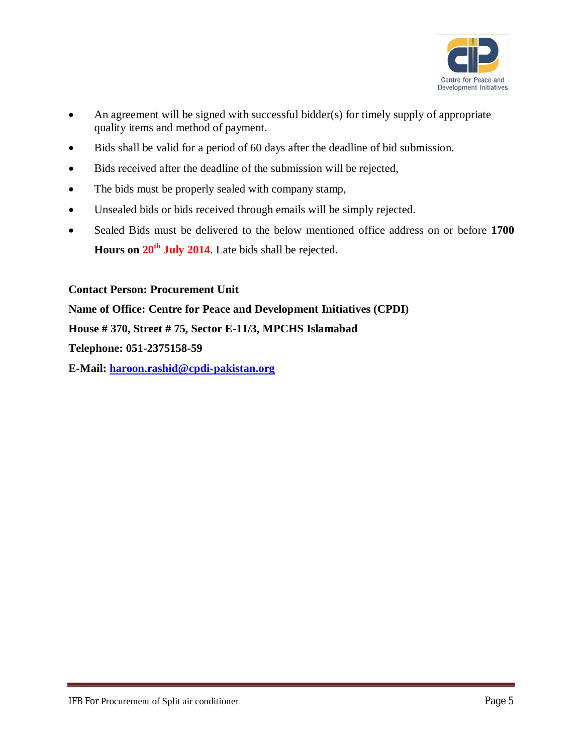

- An agreement will be signed with successful bidder(s) for timely supply of appropriate quality items and method of payment.
- Bids shall be valid for a period of 60 days after the deadline of bid submission.
- Bids received after the deadline of the submission will be rejected,
- The bids must be properly sealed with company stamp,
- Unsealed bids or bids received through emails will be simply rejected.
- Sealed Bids must be delivered to the below mentioned office address on or before **1700 Hours on 20th July 2014**. Late bids shall be rejected.

**Contact Person: Procurement Unit**

**Name of Office: Centre for Peace and Development Initiatives (CPDI)**

**House # 370, Street # 75, Sector E-11/3, MPCHS Islamabad**

**Telephone: 051-2375158-59**

**E-Mail: haroon.rashid@cpdi-pakistan.org**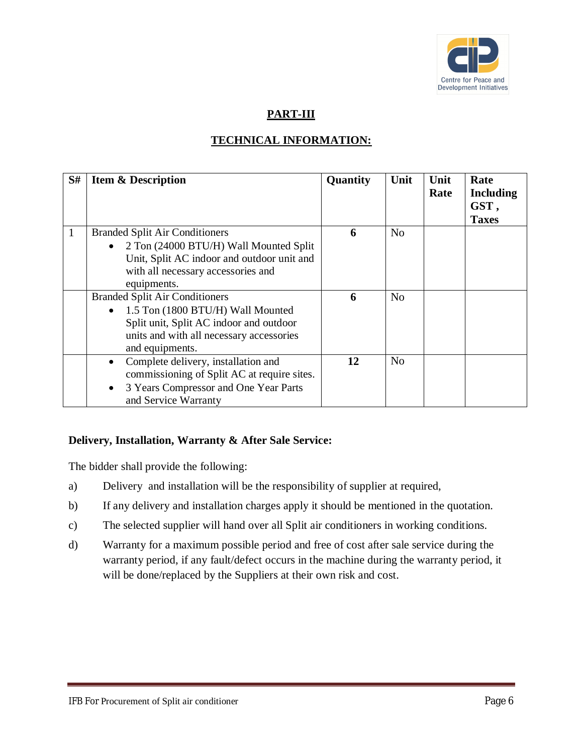

## **PART-III**

# **TECHNICAL INFORMATION:**

| S# | <b>Item &amp; Description</b>                                                                                                                                                                     | Quantity | Unit           | Unit<br>Rate | Rate<br><b>Including</b><br>GST, |
|----|---------------------------------------------------------------------------------------------------------------------------------------------------------------------------------------------------|----------|----------------|--------------|----------------------------------|
| 1  | <b>Branded Split Air Conditioners</b><br>2 Ton (24000 BTU/H) Wall Mounted Split<br>Unit, Split AC indoor and outdoor unit and<br>with all necessary accessories and<br>equipments.                | 6        | N <sub>o</sub> |              | <b>Taxes</b>                     |
|    | <b>Branded Split Air Conditioners</b><br>1.5 Ton (1800 BTU/H) Wall Mounted<br>$\bullet$<br>Split unit, Split AC indoor and outdoor<br>units and with all necessary accessories<br>and equipments. | 6        | N <sub>o</sub> |              |                                  |
|    | Complete delivery, installation and<br>commissioning of Split AC at require sites.<br>3 Years Compressor and One Year Parts<br>$\bullet$<br>and Service Warranty                                  | 12       | N <sub>o</sub> |              |                                  |

### **Delivery, Installation, Warranty & After Sale Service:**

The bidder shall provide the following:

- a) Delivery and installation will be the responsibility of supplier at required,
- b) If any delivery and installation charges apply it should be mentioned in the quotation.
- c) The selected supplier will hand over all Split air conditioners in working conditions.
- d) Warranty for a maximum possible period and free of cost after sale service during the warranty period, if any fault/defect occurs in the machine during the warranty period, it will be done/replaced by the Suppliers at their own risk and cost.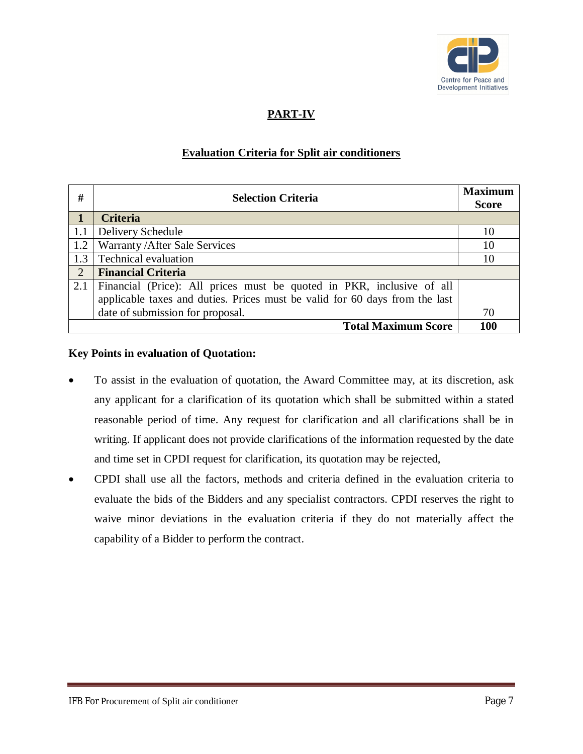

# **PART-IV**

### **Evaluation Criteria for Split air conditioners**

| #            | <b>Selection Criteria</b>                                                   |     |
|--------------|-----------------------------------------------------------------------------|-----|
| $\mathbf{1}$ | <b>Criteria</b>                                                             |     |
| 1.1          | Delivery Schedule                                                           | 10  |
| 1.2          | Warranty / After Sale Services                                              | 10  |
| 1.3          | Technical evaluation                                                        | 10  |
| $\sqrt{2}$   | <b>Financial Criteria</b>                                                   |     |
| 2.1          | Financial (Price): All prices must be quoted in PKR, inclusive of all       |     |
|              | applicable taxes and duties. Prices must be valid for 60 days from the last |     |
|              | date of submission for proposal.                                            | 70  |
|              | <b>Total Maximum Score</b>                                                  | 100 |

#### **Key Points in evaluation of Quotation:**

- To assist in the evaluation of quotation, the Award Committee may, at its discretion, ask any applicant for a clarification of its quotation which shall be submitted within a stated reasonable period of time. Any request for clarification and all clarifications shall be in writing. If applicant does not provide clarifications of the information requested by the date and time set in CPDI request for clarification, its quotation may be rejected,
- CPDI shall use all the factors, methods and criteria defined in the evaluation criteria to evaluate the bids of the Bidders and any specialist contractors. CPDI reserves the right to waive minor deviations in the evaluation criteria if they do not materially affect the capability of a Bidder to perform the contract.